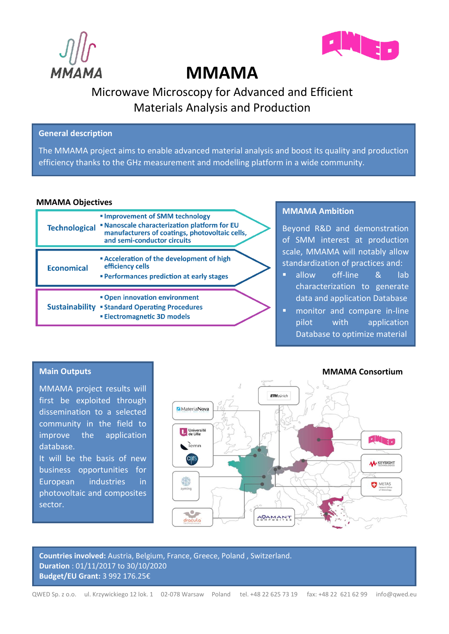



# **MMAMA**

# Microwave Microscopy for Advanced and Efficient Materials Analysis and Production

### **General description**

The MMAMA project aims to enable advanced material analysis and boost its quality and production efficiency thanks to the GHz measurement and modelling platform in a wide community.

#### **MMAMA Objectives**

| <b>Technological</b>  | <b>Improvement of SMM technology</b><br><b>Nanoscale characterization platform for EU</b><br>manufacturers of coatings, photovoltaic cells,<br>and semi-conductor circuits |  |
|-----------------------|----------------------------------------------------------------------------------------------------------------------------------------------------------------------------|--|
| <b>Economical</b>     | <b>Example 2 Fe</b> Acceleration of the development of high<br>efficiency cells<br><b>Performances prediction at early stages</b>                                          |  |
| <b>Sustainability</b> | " Open innovation environment<br><b>Standard Operating Procedures</b><br><b>Electromagnetic 3D models</b>                                                                  |  |

# **MMAMA Ambition**

Beyond R&D and demonstration of SMM interest at production scale, MMAMA will notably allow standardization of practices and:

- **E** allow off-line & lab characterization to generate data and application Database
- **■** monitor and compare in-line pilot with application Database to optimize material

# **Main Outputs**

MMAMA project results will first be exploited through dissemination to a selected community in the field to improve the application database. It will be the basis of new business opportunities for European industries in photovoltaic and composites sector.



**Countries involved:** Austria, Belgium, France, Greece, Poland , Switzerland. **Duration** : 01/11/2017 to 30/10/2020 **Budget/EU Grant:** 3 992 176.25€